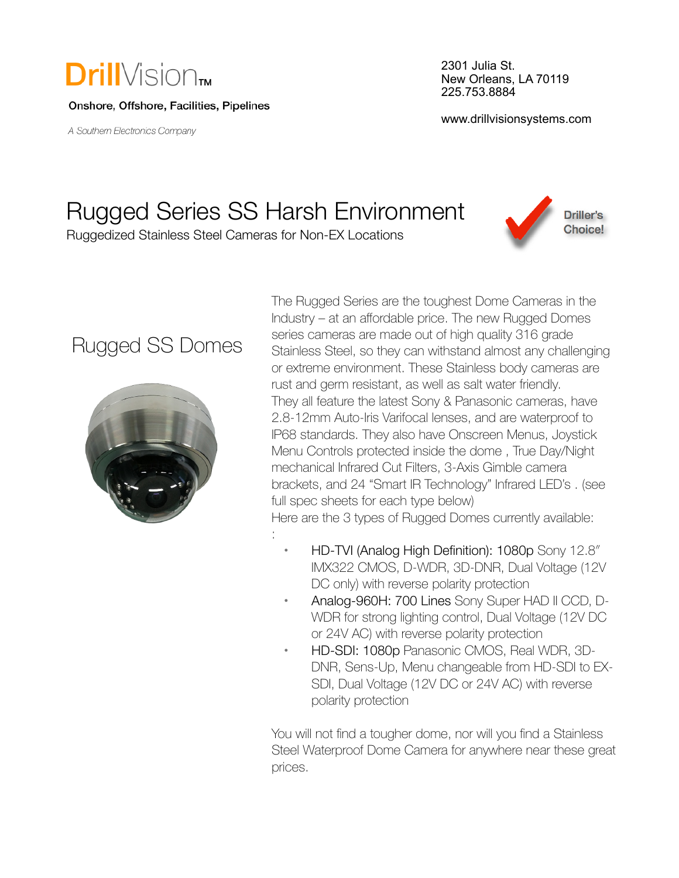

Onshore, Offshore, Facilities, Pipelines

A Southern Electronics Company

2301 Julia St. New Orleans, LA 70119 225.753.8884

www.drillvisionsystems.com

**Driller's Choice!** 

# Rugged Series SS Harsh Environment

:

Ruggedized Stainless Steel Cameras for Non-EX Locations

### Rugged SS Domes



The Rugged Series are the toughest Dome Cameras in the Industry – at an affordable price. The new Rugged Domes series cameras are made out of high quality 316 grade Stainless Steel, so they can withstand almost any challenging or extreme environment. These Stainless body cameras are rust and germ resistant, as well as salt water friendly. They all feature the latest Sony & Panasonic cameras, have 2.8-12mm Auto-Iris Varifocal lenses, and are waterproof to IP68 standards. They also have Onscreen Menus, Joystick Menu Controls protected inside the dome , True Day/Night mechanical Infrared Cut Filters, 3-Axis Gimble camera brackets, and 24 "Smart IR Technology" Infrared LED's . (see full spec sheets for each type below) Here are the 3 types of Rugged Domes currently available:

- **•** HD-TVI (Analog High Definition): 1080p Sony 12.8″ IMX322 CMOS, D-WDR, 3D-DNR, Dual Voltage (12V DC only) with reverse polarity protection
- **•** Analog-960H: 700 Lines Sony Super HAD II CCD, D-WDR for strong lighting control, Dual Voltage (12V DC or 24V AC) with reverse polarity protection
- **•** HD-SDI: 1080p Panasonic CMOS, Real WDR, 3D-DNR, Sens-Up, Menu changeable from HD-SDI to EX-SDI, Dual Voltage (12V DC or 24V AC) with reverse polarity protection

You will not find a tougher dome, nor will you find a Stainless Steel Waterproof Dome Camera for anywhere near these great prices.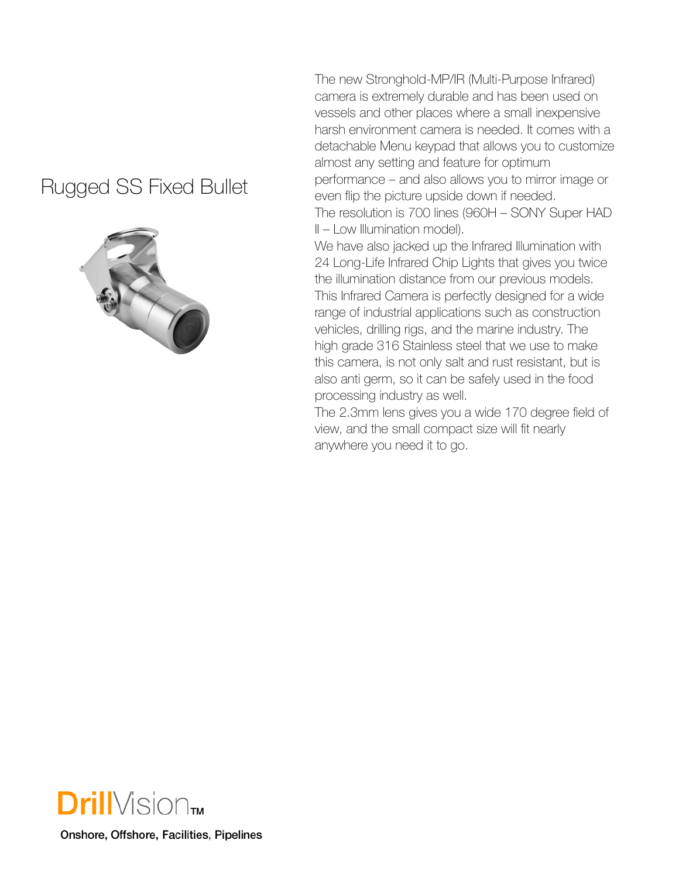#### Rugged SS Fixed Bullet



The new Stronghold-MP/IR (Multi-Purpose Infrared) camera is extremely durable and has been used on vessels and other places where a small inexpensive harsh environment camera is needed. It comes with a detachable Menu keypad that allows you to customize almost any setting and feature for optimum performance – and also allows you to mirror image or even flip the picture upside down if needed. The resolution is 700 lines (960H – SONY Super HAD II – Low Illumination model).

We have also jacked up the Infrared Illumination with 24 Long-Life Infrared Chip Lights that gives you twice the illumination distance from our previous models. This Infrared Camera is perfectly designed for a wide range of industrial applications such as construction vehicles, drilling rigs, and the marine industry. The high grade 316 Stainless steel that we use to make this camera, is not only salt and rust resistant, but is also anti germ, so it can be safely used in the food processing industry as well.

The 2.3mm lens gives you a wide 170 degree field of view, and the small compact size will fit nearly anywhere you need it to go.



Onshore, Offshore, Facilities, Pipelines